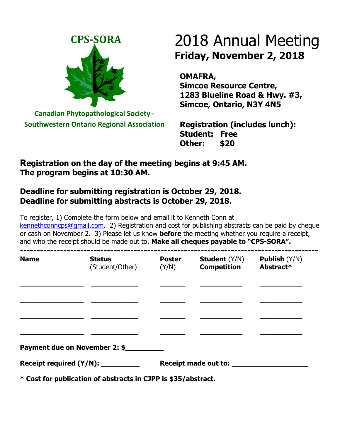

**Canadian Phytopathological Society - Southwestern Ontario Regional Association**

# 2018 Annual Meeting **Friday, November 2, 2018**

**OMAFRA, Simcoe Resource Centre, 1283 Blueline Road & Hwy. #3, Simcoe, Ontario, N3Y 4N5**

**Registration (includes lunch): Student: Free Other: \$20**

### **Registration on the day of the meeting begins at 9:45 AM. The program begins at 10:30 AM.**

## **Deadline for submitting registration is October 29, 2018. Deadline for submitting abstracts is October 29, 2018.**

To register, 1) Complete the form below and email it to Kenneth Conn at [kennethconncps@gmail.com.](mailto:kennethconncps@gmail.com) 2) Registration and cost for publishing abstracts can be paid by cheque or cash on November 2. 3) Please let us know **before** the meeting whether you require a receipt, and who the receipt should be made out to. **Make all cheques payable to "CPS-SORA".**

| <b>Name</b>                       | <b>Status</b><br>(Student/Other) | <b>Poster</b><br>(Y/N) | <b>Student</b> (Y/N)<br><b>Competition</b> | <b>Publish</b> $(Y/N)$<br>Abstract* |  |
|-----------------------------------|----------------------------------|------------------------|--------------------------------------------|-------------------------------------|--|
|                                   |                                  |                        |                                            |                                     |  |
|                                   |                                  |                        |                                            |                                     |  |
|                                   |                                  |                        |                                            |                                     |  |
|                                   |                                  |                        |                                            |                                     |  |
| Payment due on November 2: \$     |                                  |                        |                                            |                                     |  |
| Receipt required (Y/N): _________ |                                  |                        |                                            |                                     |  |

**\* Cost for publication of abstracts in CJPP is \$35/abstract.**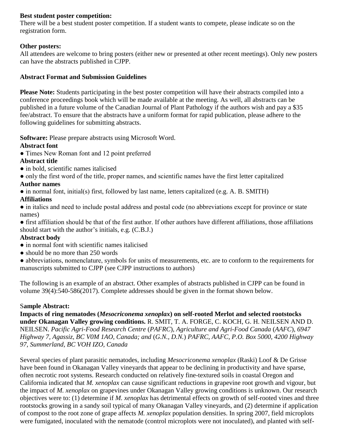#### **Best student poster competition:**

There will be a best student poster competition. If a student wants to compete, please indicate so on the registration form.

#### **Other posters:**

All attendees are welcome to bring posters (either new or presented at other recent meetings). Only new posters can have the abstracts published in CJPP.

#### **Abstract Format and Submission Guidelines**

**Please Note:** Students participating in the best poster competition will have their abstracts compiled into a conference proceedings book which will be made available at the meeting. As well, all abstracts can be published in a future volume of the Canadian Journal of Plant Pathology if the authors wish and pay a \$35 fee/abstract. To ensure that the abstracts have a uniform format for rapid publication, please adhere to the following guidelines for submitting abstracts.

**Software:** Please prepare abstracts using Microsoft Word.

#### **Abstract font**

● Times New Roman font and 12 point preferred

#### **Abstract title**

- in bold, scientific names italicised
- only the first word of the title, proper names, and scientific names have the first letter capitalized

#### **Author names**

• in normal font, initial(s) first, followed by last name, letters capitalized (e.g. A. B. SMITH)

#### **Affiliations**

● in italics and need to include postal address and postal code (no abbreviations except for province or state names)

● first affiliation should be that of the first author. If other authors have different affiliations, those affiliations should start with the author's initials, e.g. (C.B.J.)

#### **Abstract body**

- in normal font with scientific names italicised
- should be no more than 250 words
- abbreviations, nomenclature, symbols for units of measurements, etc. are to conform to the requirements for manuscripts submitted to CJPP (see CJPP instructions to authors)

The following is an example of an abstract. Other examples of abstracts published in CJPP can be found in volume 39(4):540-586(2017). Complete addresses should be given in the format shown below.

#### S**ample Abstract:**

**Impacts of ring nematodes (***Mesocriconema xenoplax***) on self-rooted Merlot and selected rootstocks under Okanagan Valley growing conditions.** R. SMIT, T. A. FORGE, C. KOCH, G. H. NEILSEN AND D. NEILSEN. *Pacific Agri-Food Research Centre* (*PAFRC*)*, Agriculture and Agri-Food Canada* (*AAFC*)*, 6947 Highway 7, Agassiz, BC V0M 1AO, Canada; and* (*G.N., D.N.*) *PAFRC, AAFC, P.O. Box 5000, 4200 Highway 97, Summerland, BC VOH IZO, Canada*

Several species of plant parasitic nematodes, including *Mesocriconema xenoplax* (Raski) Loof & De Grisse have been found in Okanagan Valley vineyards that appear to be declining in productivity and have sparse, often necrotic root systems. Research conducted on relatively fine-textured soils in coastal Oregon and California indicated that *M. xenoplax* can cause significant reductions in grapevine root growth and vigour, but the impact of *M. xenoplax* on grapevines under Okanagan Valley growing conditions is unknown. Our research objectives were to: (1) determine if *M. xenoplax* has detrimental effects on growth of self-rooted vines and three rootstocks growing in a sandy soil typical of many Okanagan Valley vineyards, and (2) determine if application of compost to the root zone of grape affects *M. xenoplax* population densities. In spring 2007, field microplots were fumigated, inoculated with the nematode (control microplots were not inoculated), and planted with self